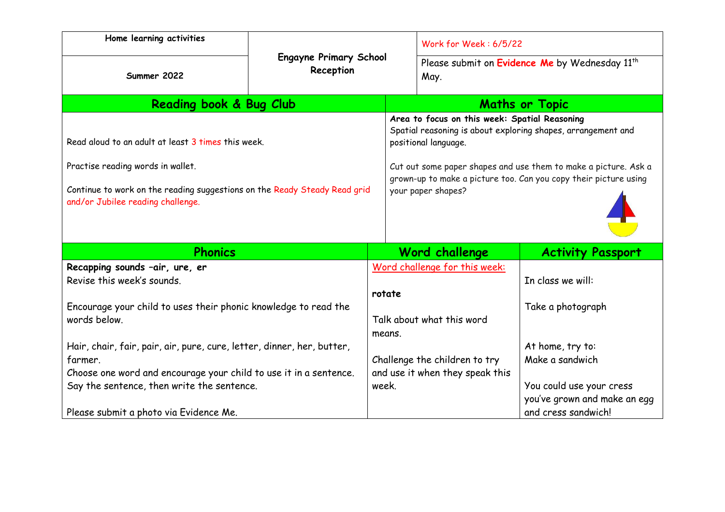| Home learning activities                                                                                                                                                                                  | <b>Engayne Primary School</b><br>Reception |                           | Work for Week: 6/5/22                                                                                                                                                                                                                                                                              |                                                     |
|-----------------------------------------------------------------------------------------------------------------------------------------------------------------------------------------------------------|--------------------------------------------|---------------------------|----------------------------------------------------------------------------------------------------------------------------------------------------------------------------------------------------------------------------------------------------------------------------------------------------|-----------------------------------------------------|
| Summer 2022                                                                                                                                                                                               |                                            |                           | Please submit on Evidence Me by Wednesday 11 <sup>th</sup><br>May.                                                                                                                                                                                                                                 |                                                     |
| Reading book & Bug Club                                                                                                                                                                                   |                                            |                           | <b>Maths or Topic</b>                                                                                                                                                                                                                                                                              |                                                     |
| Read aloud to an adult at least 3 times this week.<br>Practise reading words in wallet.<br>Continue to work on the reading suggestions on the Ready Steady Read grid<br>and/or Jubilee reading challenge. |                                            |                           | Area to focus on this week: Spatial Reasoning<br>Spatial reasoning is about exploring shapes, arrangement and<br>positional language.<br>Cut out some paper shapes and use them to make a picture. Ask a<br>grown-up to make a picture too. Can you copy their picture using<br>your paper shapes? |                                                     |
|                                                                                                                                                                                                           |                                            |                           |                                                                                                                                                                                                                                                                                                    |                                                     |
| <b>Phonics</b>                                                                                                                                                                                            |                                            |                           | Word challenge                                                                                                                                                                                                                                                                                     | <b>Activity Passport</b>                            |
| Recapping sounds -air, ure, er<br>Revise this week's sounds.                                                                                                                                              |                                            |                           | Word challenge for this week:<br>In class we will:                                                                                                                                                                                                                                                 |                                                     |
|                                                                                                                                                                                                           |                                            | rotate                    |                                                                                                                                                                                                                                                                                                    |                                                     |
| Encourage your child to uses their phonic knowledge to read the<br>words below.                                                                                                                           |                                            | Talk about what this word |                                                                                                                                                                                                                                                                                                    | Take a photograph                                   |
|                                                                                                                                                                                                           |                                            |                           |                                                                                                                                                                                                                                                                                                    |                                                     |
|                                                                                                                                                                                                           |                                            | means.                    |                                                                                                                                                                                                                                                                                                    |                                                     |
| Hair, chair, fair, pair, air, pure, cure, letter, dinner, her, butter,                                                                                                                                    |                                            |                           |                                                                                                                                                                                                                                                                                                    | At home, try to:                                    |
| farmer.                                                                                                                                                                                                   |                                            |                           | Make a sandwich<br>Challenge the children to try                                                                                                                                                                                                                                                   |                                                     |
| Choose one word and encourage your child to use it in a sentence.                                                                                                                                         |                                            |                           | and use it when they speak this                                                                                                                                                                                                                                                                    |                                                     |
| Say the sentence, then write the sentence.                                                                                                                                                                |                                            | week.                     | You could use your cress                                                                                                                                                                                                                                                                           |                                                     |
| Please submit a photo via Evidence Me.                                                                                                                                                                    |                                            |                           |                                                                                                                                                                                                                                                                                                    | you've grown and make an egg<br>and cress sandwich! |
|                                                                                                                                                                                                           |                                            |                           |                                                                                                                                                                                                                                                                                                    |                                                     |